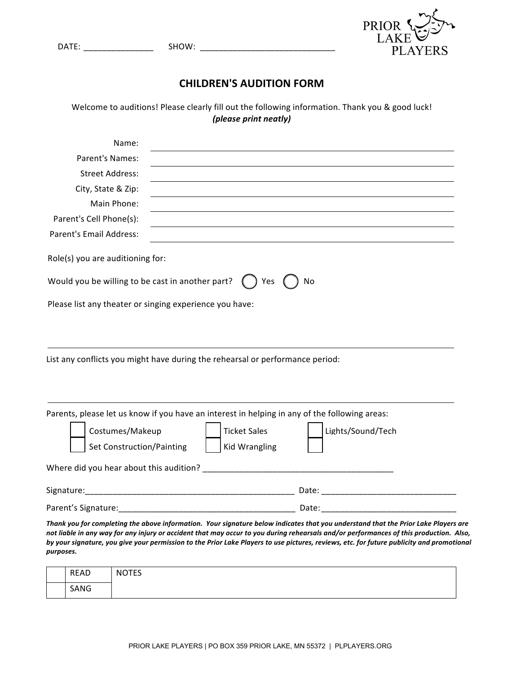| <b>DATE</b><br>. | . <i>.</i><br>w<br>-<br>______ |  |
|------------------|--------------------------------|--|
|                  |                                |  |



## **CHILDREN'S AUDITION FORM**

Welcome to auditions! Please clearly fill out the following information. Thank you & good luck! *(please print neatly)*

| Name:                                                                                         |                                                                                                                                    |
|-----------------------------------------------------------------------------------------------|------------------------------------------------------------------------------------------------------------------------------------|
| Parent's Names:                                                                               |                                                                                                                                    |
| <b>Street Address:</b>                                                                        |                                                                                                                                    |
| City, State & Zip:                                                                            |                                                                                                                                    |
| Main Phone:                                                                                   |                                                                                                                                    |
| Parent's Cell Phone(s):                                                                       |                                                                                                                                    |
| Parent's Email Address:                                                                       |                                                                                                                                    |
| Role(s) you are auditioning for:                                                              |                                                                                                                                    |
| Would you be willing to be cast in another part?                                              | ) Yes<br>No                                                                                                                        |
| Please list any theater or singing experience you have:                                       |                                                                                                                                    |
|                                                                                               |                                                                                                                                    |
|                                                                                               |                                                                                                                                    |
|                                                                                               |                                                                                                                                    |
| List any conflicts you might have during the rehearsal or performance period:                 |                                                                                                                                    |
|                                                                                               |                                                                                                                                    |
|                                                                                               |                                                                                                                                    |
| Parents, please let us know if you have an interest in helping in any of the following areas: |                                                                                                                                    |
| Costumes/Makeup                                                                               | <b>Ticket Sales</b><br>Lights/Sound/Tech                                                                                           |
| <b>Set Construction/Painting</b>                                                              | <b>Kid Wrangling</b>                                                                                                               |
|                                                                                               |                                                                                                                                    |
|                                                                                               |                                                                                                                                    |
|                                                                                               |                                                                                                                                    |
|                                                                                               |                                                                                                                                    |
|                                                                                               | Thank you for completing the above information. Your signature below indicates that you understand that the Prior Lake Players are |

not liable in any way for any injury or accident that may occur to you during rehearsals and/or performances of this production. Also, by your signature, you give your permission to the Prior Lake Players to use pictures, reviews, etc. for future publicity and promotional *purposes.*

| <b>READ</b> | <b>NOTES</b> |
|-------------|--------------|
| SANG        |              |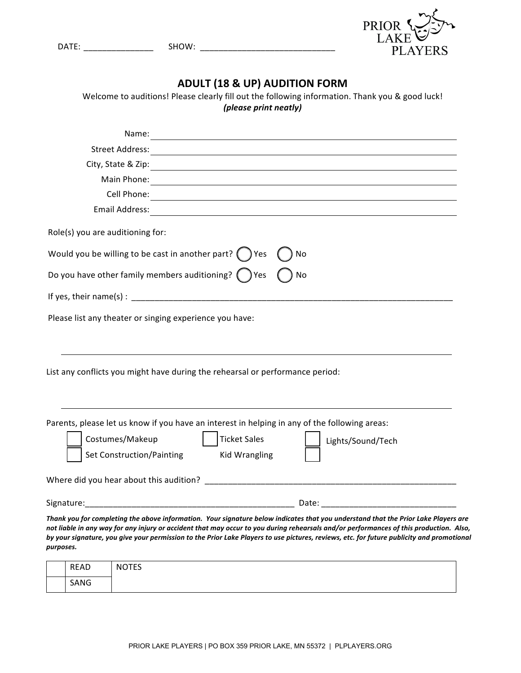| <b>DATE</b> | <b>CIICILI</b><br>-<br>____ |  |
|-------------|-----------------------------|--|
|             |                             |  |



| <b>ADULT (18 &amp; UP) AUDITION FORM</b>                                                                                                                                                                                                                                            |  |  |
|-------------------------------------------------------------------------------------------------------------------------------------------------------------------------------------------------------------------------------------------------------------------------------------|--|--|
| Welcome to auditions! Please clearly fill out the following information. Thank you & good luck!<br>(please print neatly)                                                                                                                                                            |  |  |
|                                                                                                                                                                                                                                                                                     |  |  |
| Name:<br><u> 1980 - Johann Barbara, martxa amerikan personal (h. 1980).</u>                                                                                                                                                                                                         |  |  |
| <b>Street Address:</b>                                                                                                                                                                                                                                                              |  |  |
|                                                                                                                                                                                                                                                                                     |  |  |
| Main Phone:                                                                                                                                                                                                                                                                         |  |  |
|                                                                                                                                                                                                                                                                                     |  |  |
|                                                                                                                                                                                                                                                                                     |  |  |
| Role(s) you are auditioning for:                                                                                                                                                                                                                                                    |  |  |
| Would you be willing to be cast in another part? $($ $)$ Yes<br>No                                                                                                                                                                                                                  |  |  |
| Do you have other family members auditioning? $($ $)$ Yes<br>No                                                                                                                                                                                                                     |  |  |
|                                                                                                                                                                                                                                                                                     |  |  |
| Please list any theater or singing experience you have:                                                                                                                                                                                                                             |  |  |
|                                                                                                                                                                                                                                                                                     |  |  |
|                                                                                                                                                                                                                                                                                     |  |  |
|                                                                                                                                                                                                                                                                                     |  |  |
| List any conflicts you might have during the rehearsal or performance period:                                                                                                                                                                                                       |  |  |
|                                                                                                                                                                                                                                                                                     |  |  |
|                                                                                                                                                                                                                                                                                     |  |  |
| Parents, please let us know if you have an interest in helping in any of the following areas:                                                                                                                                                                                       |  |  |
| Costumes/Makeup<br><b>Ticket Sales</b><br>Lights/Sound/Tech                                                                                                                                                                                                                         |  |  |
| <b>Set Construction/Painting</b><br><b>Kid Wrangling</b>                                                                                                                                                                                                                            |  |  |
|                                                                                                                                                                                                                                                                                     |  |  |
|                                                                                                                                                                                                                                                                                     |  |  |
| Thank you for completing the above information. Your signature below indicates that you understand that the Prior Lake Players are                                                                                                                                                  |  |  |
| not liable in any way for any injury or accident that may occur to you during rehearsals and/or performances of this production. Also,<br>by your signature, you give your permission to the Prior Lake Players to use pictures, reviews, etc. for future publicity and promotional |  |  |
| purposes.                                                                                                                                                                                                                                                                           |  |  |
| $\sqrt{2}$                                                                                                                                                                                                                                                                          |  |  |

| <b>READ</b> | <b>NOTES</b> |
|-------------|--------------|
| SANG        |              |